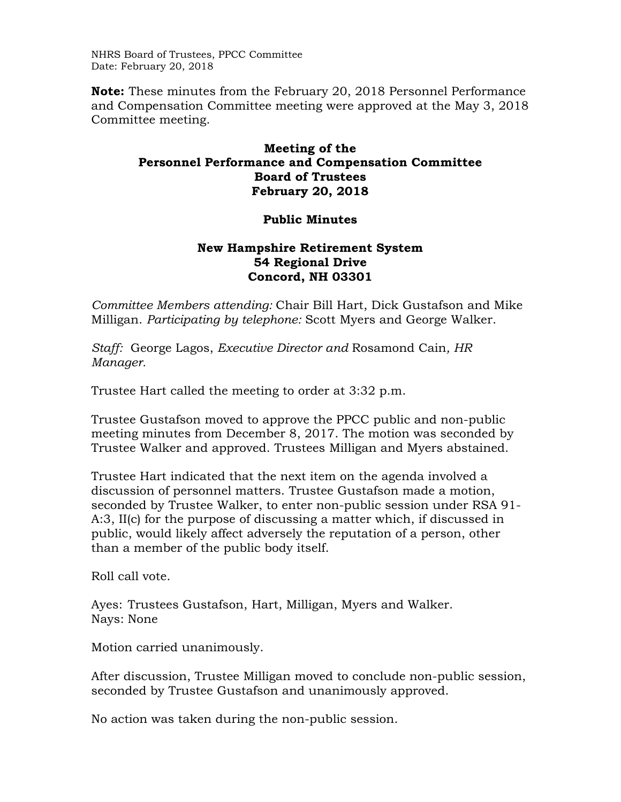NHRS Board of Trustees, PPCC Committee Date: February 20, 2018

**Note:** These minutes from the February 20, 2018 Personnel Performance and Compensation Committee meeting were approved at the May 3, 2018 Committee meeting.

## **Meeting of the Personnel Performance and Compensation Committee Board of Trustees February 20, 2018**

## **Public Minutes**

## **New Hampshire Retirement System 54 Regional Drive Concord, NH 03301**

*Committee Members attending:* Chair Bill Hart, Dick Gustafson and Mike Milligan. *Participating by telephone:* Scott Myers and George Walker.

*Staff:* George Lagos, *Executive Director and* Rosamond Cain*, HR Manager.* 

Trustee Hart called the meeting to order at 3:32 p.m.

Trustee Gustafson moved to approve the PPCC public and non-public meeting minutes from December 8, 2017. The motion was seconded by Trustee Walker and approved. Trustees Milligan and Myers abstained.

Trustee Hart indicated that the next item on the agenda involved a discussion of personnel matters. Trustee Gustafson made a motion, seconded by Trustee Walker, to enter non-public session under RSA 91- A:3, II(c) for the purpose of discussing a matter which, if discussed in public, would likely affect adversely the reputation of a person, other than a member of the public body itself.

Roll call vote.

Ayes: Trustees Gustafson, Hart, Milligan, Myers and Walker. Nays: None

Motion carried unanimously.

After discussion, Trustee Milligan moved to conclude non-public session, seconded by Trustee Gustafson and unanimously approved.

No action was taken during the non-public session.